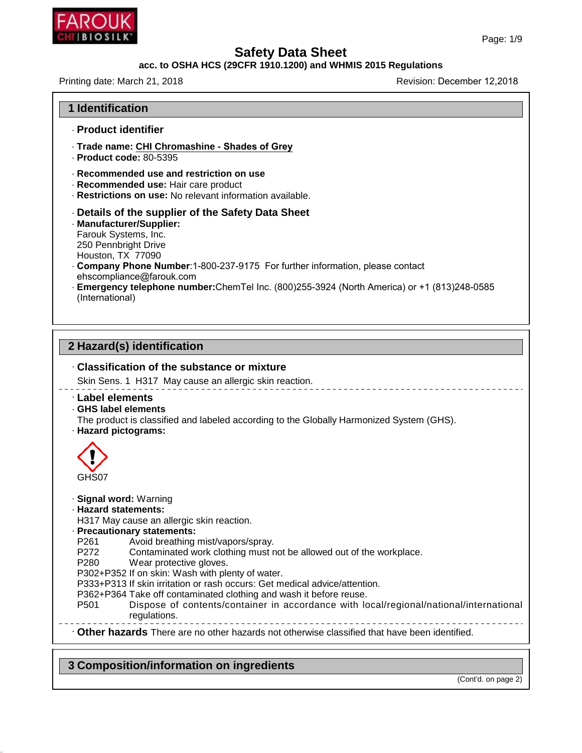

# **Safety Data Sheet<br>acc. to OSHA HCS (29CFR 1910.1200) and WHMIS 2015 Regulations<br>Revision: December**

| , , ,, , , , , ,<br>CHI BIOSILK*                                                                                                                                                                                                                                                                                                                                                                                                                                                                                                                                                                                                              | Page: 1/9                  |
|-----------------------------------------------------------------------------------------------------------------------------------------------------------------------------------------------------------------------------------------------------------------------------------------------------------------------------------------------------------------------------------------------------------------------------------------------------------------------------------------------------------------------------------------------------------------------------------------------------------------------------------------------|----------------------------|
| <b>Safety Data Sheet</b>                                                                                                                                                                                                                                                                                                                                                                                                                                                                                                                                                                                                                      |                            |
| acc. to OSHA HCS (29CFR 1910.1200) and WHMIS 2015 Regulations                                                                                                                                                                                                                                                                                                                                                                                                                                                                                                                                                                                 |                            |
| Printing date: March 21, 2018                                                                                                                                                                                                                                                                                                                                                                                                                                                                                                                                                                                                                 | Revision: December 12,2018 |
| <b>1 Identification</b>                                                                                                                                                                                                                                                                                                                                                                                                                                                                                                                                                                                                                       |                            |
| - Product identifier                                                                                                                                                                                                                                                                                                                                                                                                                                                                                                                                                                                                                          |                            |
| · Trade name: CHI Chromashine - Shades of Grey<br>- Product code: 80-5395                                                                                                                                                                                                                                                                                                                                                                                                                                                                                                                                                                     |                            |
| Recommended use and restriction on use<br>- Recommended use: Hair care product<br>Restrictions on use: No relevant information available.                                                                                                                                                                                                                                                                                                                                                                                                                                                                                                     |                            |
| Details of the supplier of the Safety Data Sheet<br>· Manufacturer/Supplier:<br>Farouk Systems, Inc.<br>250 Pennbright Drive<br>Houston, TX 77090<br>. Company Phone Number: 1-800-237-9175 For further information, please contact<br>ehscompliance@farouk.com<br>- Emergency telephone number: ChemTel Inc. (800)255-3924 (North America) or +1 (813)248-0585<br>(International)                                                                                                                                                                                                                                                            |                            |
| 2 Hazard(s) identification<br>. Classification of the substance or mixture<br>Skin Sens. 1 H317 May cause an allergic skin reaction.                                                                                                                                                                                                                                                                                                                                                                                                                                                                                                          |                            |
| Label elements<br>GHS label elements<br>The product is classified and labeled according to the Globally Harmonized System (GHS).<br>· Hazard pictograms:                                                                                                                                                                                                                                                                                                                                                                                                                                                                                      |                            |
| GHS07                                                                                                                                                                                                                                                                                                                                                                                                                                                                                                                                                                                                                                         |                            |
| · Signal word: Warning<br>· Hazard statements:<br>H317 May cause an allergic skin reaction.<br>· Precautionary statements:<br>P <sub>261</sub><br>Avoid breathing mist/vapors/spray.<br>P272<br>Contaminated work clothing must not be allowed out of the workplace.<br>P280<br>Wear protective gloves.<br>P302+P352 If on skin: Wash with plenty of water.<br>P333+P313 If skin irritation or rash occurs: Get medical advice/attention.<br>P362+P364 Take off contaminated clothing and wash it before reuse.<br>Dispose of contents/container in accordance with local/regional/national/international<br>P <sub>501</sub><br>regulations. |                            |
| . Other hazards There are no other hazards not otherwise classified that have been identified.                                                                                                                                                                                                                                                                                                                                                                                                                                                                                                                                                |                            |
|                                                                                                                                                                                                                                                                                                                                                                                                                                                                                                                                                                                                                                               |                            |

### **3 Composition/information on ingredients**

46.1.6.1

(Cont'd. on page 2)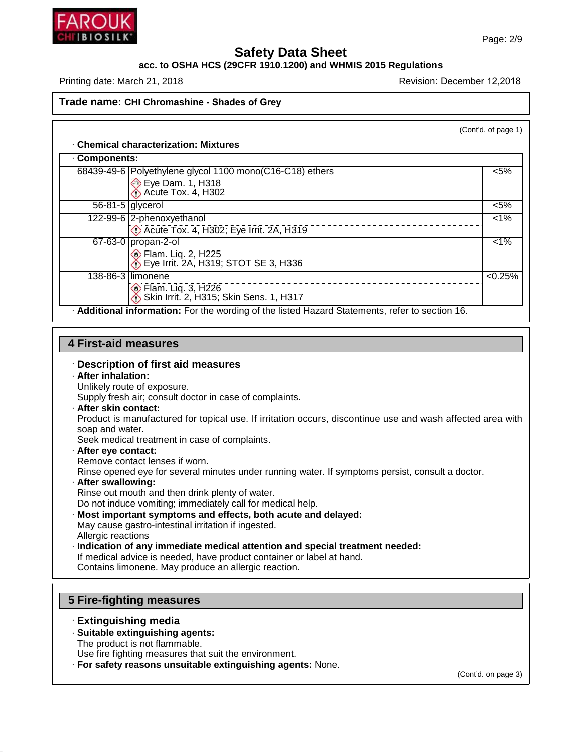

### **Safety Data Sheet<br>PCFR 1910.1200) and WHMIS 201** Page: 2/9<br>**Safety Data Sheet**<br>Printing date: March 21, 2018<br>Printing date: March 21, 2018 PRINTING PRINCE CHANNEL CONTROLLER<br>
SALET STATE SALES (29 CFR 1910.1200) and WHMIS 2015 Regulations<br>
Printing date: March 21, 2018<br>
Revision: December 12,2018<br>
Revision: December 12,2018

|                             | Trade name: CHI Chromashine - Shades of Grey                                                         |                     |
|-----------------------------|------------------------------------------------------------------------------------------------------|---------------------|
|                             |                                                                                                      | (Cont'd. of page 1) |
|                             | <b>Chemical characterization: Mixtures</b>                                                           |                     |
| Components:                 |                                                                                                      |                     |
|                             | 68439-49-6   Polyethylene glycol 1100 mono(C16-C18) ethers<br>Eye Dam. 1, H318<br>Acute Tox. 4, H302 | $< 5\%$             |
| $56-81-5$ glycerol          |                                                                                                      | $< 5\%$             |
|                             | 122-99-6 2-phenoxyethanol<br>De Acute Tox. 4, H302; Eye Irrit. 2A, H319                              | $\overline{1\%}$    |
|                             | 67-63-0 propan-2-ol<br><b>Elam.</b> Liq. 2, H225<br>Eye Irrit. 2A, H319; STOT SE 3, H336             | $\overline{1\%}$    |
|                             | 138-86-3 llimonene<br><b>Elam. Liq. 3, H226</b><br>Skin Irrit. 2, H315; Skin Sens. 1, H317           | < 0.25%             |
|                             | . Additional information: For the wording of the listed Hazard Statements, refer to section 16.      |                     |
|                             |                                                                                                      |                     |
| <b>4 First-aid measures</b> |                                                                                                      |                     |
| · After inhalation:         | · Description of first aid measures<br>Unlikely route of exposure.                                   |                     |

# **First-aid measure**<br> **Consider inhalation:**<br>
Unlikely route of expos<br>
Supply fresh air: consu

# **First-aid measures<br>Description of first aid meantain and measure.**<br>After inhalation:<br>Unlikely route of exposure.<br>Supply fresh air; consult doctor

- 
- 

**First-aid measures**<br>
• **Description of first aid measures**<br>
• **After inhalation:**<br>
Unlikely route of exposure.<br>
Supply fresh air; consult doctor in case of complaints.<br>
• **After skin contact:**<br>
Product is manufactured for **After inhalation:**<br>
Unlikely route of exposure.<br>
Supply fresh air; consult doctor in case of complaints.<br> **After skin contact:**<br>
Product is manufactured for topical use. If irritation occurs, discontinue use and wash affe After inhalation:<br>Unlikely route of experts<br>Supply fresh air; con<br>After skin contact:<br>Product is manufact<br>soap and water.<br>Seek medical treatm<br>After ave contact: Unlikely route of exposure.<br>
Supply fresh air; consult doctor in case of complain<br> **After skin contact:**<br>
Product is manufactured for topical use. If irritatio<br>
soap and water.<br>
Seek medical treatment in case of complaints Product is manufactured for topical use. If irritation occurs, discontinue use and wash affected area<br>soap and water.<br>Seek medical treatment in case of complaints.<br>**· After eye contact:**<br>Remove contact lenses if worn.<br>Rins

Seek medical treatment in case of complaints.<br> **After eye contact:**<br>
Remove contact lenses if worn.<br>
Rinse opened eye for several minutes under running water. If symptoms persist, consult a doctor.<br> **After swallowing:** Seek medical treatment in case of complaints.<br>**After eye contact:**<br>Remove contact lenses if worn.<br>Rinse opened eye for several minutes under running<br>**After swallowing:**<br>Rinse out mouth and then drink plenty of water.<br>Do no

- 
- 
- Outlet a not induce vomitately call for medical help.<br>
Rinse opened eye for several minutes under running water. If symptoms p<br> **After swallowing:**<br>
Rinse out mouth and then drink plenty of water.<br>
Do not induce vomiting; Rinse opened eye for several minutes under running<br>**After swallowing:**<br>Rinse out mouth and then drink plenty of water.<br>Do not induce vomiting; immediately call for medical<br>**Most important symptoms and effects, both acut**<br>M After swallowing:<br>Rinse out mouth and ther<br>Do not induce vomiting; ir<br>Most important sympto<br>May cause gastro-intestin<br>Allergic reactions<br>Indication of any immed<br>If medical advice is needed **Most important symptoms and effects, both acute and**<br>May cause gastro-intestinal irritation if ingested.<br>Allergic reactions<br>**Indication of any immediate medical attention and spe**<br>If medical advice is needed, have product
- Finse out mouth and then drink pienty of water.<br>
Do not induce vomiting; immediately call for medical help.<br> **Most important symptoms and effects, both acute and delayed:**<br>
May cause gastro-intestinal irritation if ingeste Do not induce vomiting; immediately call for medical help.<br>**Most important symptoms and effects, both acute and delayed:**<br>May cause gastro-intestinal irritation if ingested.<br>Allergic reactions<br>**Indication of any immediate** Allergic reactions<br> **Indication of any immediate medical a**<br>
If medical advice is needed, have produce<br>
Contains limonene. May produce an aller<br> **5 Fire-fighting measures**<br> **Extinguishing media**

Contains limonene. May produce an allergic reaction.<br> **Extinguishing measures**<br> **Extinguishing media**<br> **Extinguishing media**<br> **Extinguishing agents:**<br>
The product is not flammable.

46.1.6.1

- **Fire-fighting measures<br>· Extinguishing media<br>· Suitable extinguishing agents:**<br>The product is not flammable.<br>Use fire fighting measures that suit the Fire-fighting measures<br>Extinguishing media<br>Suitable extinguishing agents:<br>The product is not flammable.<br>Use fire fighting measures that suite<br>For safety reasons unsuitable ex
- 

**Extinguishing measures<br>
· Extinguishing media<br>
· Suitable extinguishing agents:**<br>
The product is not flammable.<br>
Use fire fighting measures that suit the environment.<br>
· **For safety reasons unsuitable extinguishing agents** 

(Cont'd. on page 3)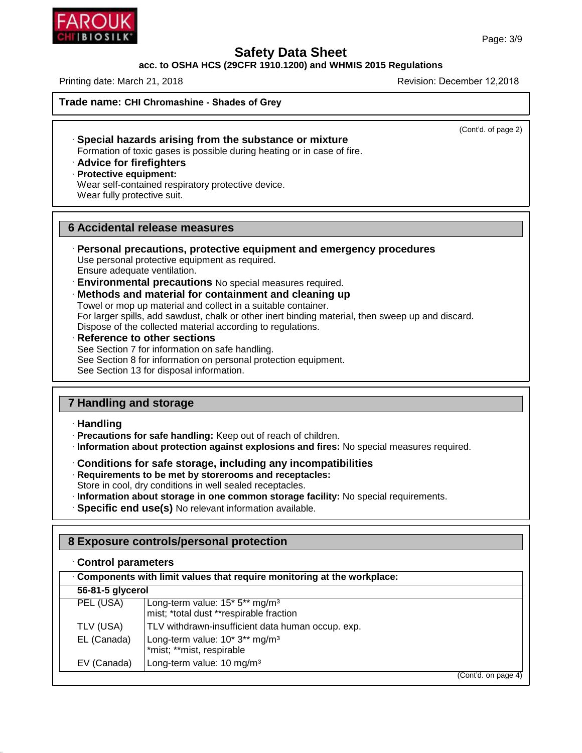### **Safety Data Sheet<br>PCFR 1910.1200) and WHMIS 201** Page: 3/9<br>**Safety Data Sheet<br>Printing date: March 21, 2018**<br>Printing date: March 21, 2018 Page: 3/9<br>
Page: 3/1<br>
acc. to OSHA HCS (29CFR 1910.1200) and WHMIS 2015 Regulations<br>
Printing date: March 21, 2018<br>
Revision: December 12,2018<br>
Revision: December 12,2018

**Trade name: CHI Chromashine - Shades of Grey**

(Cont'd. of page 2)

- nting date: March 21, 2018<br> **ade name: CHI Chromashine Shades of Grey<br>
· Special hazards arising from the substance or mixture**<br>
Formation of toxic gases is possible during heating or in case of fire.<br>
· Advice for firef Formation of toxic gases is possible during heating or in case of fire.<br>
Formation of toxic gases is possible during heating or in case of fire.<br> **Advice for firefighters**<br> **Protective equipment:**<br>
Wear self-contained resp **• Special hazards arising f**<br>Formation of toxic gases is po<br>**• Advice for firefighters**<br>**• Protective equipment:**<br>Wear self-contained respirate<br>Wear fully protective suit. Special hazards arising from the substance of<br>Formation of toxic gases is possible during heating or<br>Advice for firefighters<br>Protective equipment:<br>Wear self-contained respiratory protective device.<br>Wear fully protective su
- 
- 
- Special nazards arising fi<br>Formation of toxic gases is po<br>**Advice for firefighters**<br>Protective equipment:<br>Wear self-contained respirato<br>Wear fully protective suit. Frotective equipment:<br>
Wear self-contained respiratory protective device<br>
Wear fully protective suit.<br> **6 Accidental release measures<br>
Personal precautions, protective equipm**

- **Example 2018 19 Fersonal precautions, protective equipment and emergency procedures**<br>
Use personal precautions, protective equipment and emergency procedures<br>
Use personal protective equipment as required.<br>
Environmental For example are adequated ventilation.<br>
• **Personal precautions, protective equipment and emergency proceduse ventilation.**<br> **Environmental precautions** No special measures required.<br>
• **Methods and material for containmen**
- 
- 

Fersonal precautions, protective equipment and emergency<br>Use personal protective equipment as required.<br>Environmental precautions No special measures required.<br>**Methods and material for containment and cleaning up**<br>Towel o Use personal protective equipment as required.<br>
Ensure adequate ventilation.<br> **Environmental precautions** No special measures required.<br> **Methods and material for containment and cleaning up**<br>
Towel or mop up material and Ensure adequate ventiliation.<br>
• **Environmental precautions** No special measures required<br>
• **Methods and material for containment and cleaning**<br>
• Towel or mop up material and collect in a suitable container.<br>
• For large

For larger spills, add sawdust, chalk or other inert binding material, the Dispose of the collected material according to regulations.<br> **Reference to other sections**<br>
See Section 7 for information on safe handling.<br>
See Se Dispose of the collected material according to regulations.<br> **Reference to other sections**<br>
See Section 7 for information on safe handling.<br>
See Section 8 for information on personal protection equipment.<br>
See Section 13 **17 Handling and storage<br>
17 Handling and storage<br>
17 Handling and storage<br>
17 Handling and storage<br>
17 Handling and storage<br>
17 Handling and storage<br>
17 Handling** 

### · **Handling**

46.1.6.1

- 
- **7 Handling and storage**<br> **Examplisher Franching:** Keep out of reach of children.<br> **Precautions for safe handling:** Keep out of reach of children.<br> **Precautions for safe storage, including any incompatibilities**<br> **Prequire** • **Precautions for safe handling:** Keep out of reach of children.<br>
• **Information about protection against explosions and fires:** No special measures required.<br>
• **Conditions for safe storage, including any incompatibiliti** Frecautions for safe handling: Keep out of reach of children.<br> **Conditions for safe storage, including any incompatibilities**<br> **Conditions for safe storage, including any incompatibilities**<br> **Requirements to be met by sto**
- 
- 
- 
- 
- 

### **8 Exposure controls/personal protection**

|                    | nogalichichts to be met by storerooms and receptacles.<br>Store in cool, dry conditions in well sealed receptacles.<br>· Information about storage in one common storage facility: No special requirements.<br>· Specific end use(s) No relevant information available. |  |
|--------------------|-------------------------------------------------------------------------------------------------------------------------------------------------------------------------------------------------------------------------------------------------------------------------|--|
|                    | 8 Exposure controls/personal protection                                                                                                                                                                                                                                 |  |
| Control parameters |                                                                                                                                                                                                                                                                         |  |
|                    | Components with limit values that require monitoring at the workplace:                                                                                                                                                                                                  |  |
| 56-81-5 glycerol   |                                                                                                                                                                                                                                                                         |  |
| PEL (USA)          | Long-term value: 15* 5** mg/m <sup>3</sup><br>mist; *total dust **respirable fraction                                                                                                                                                                                   |  |
| TLV (USA)          | TLV withdrawn-insufficient data human occup. exp.                                                                                                                                                                                                                       |  |
| EL (Canada)        | Long-term value: 10* 3** mg/m <sup>3</sup><br>*mist; **mist, respirable                                                                                                                                                                                                 |  |
| EV (Canada)        | Long-term value: 10 mg/m <sup>3</sup>                                                                                                                                                                                                                                   |  |
|                    | (Cont'd. on page 4)                                                                                                                                                                                                                                                     |  |
|                    |                                                                                                                                                                                                                                                                         |  |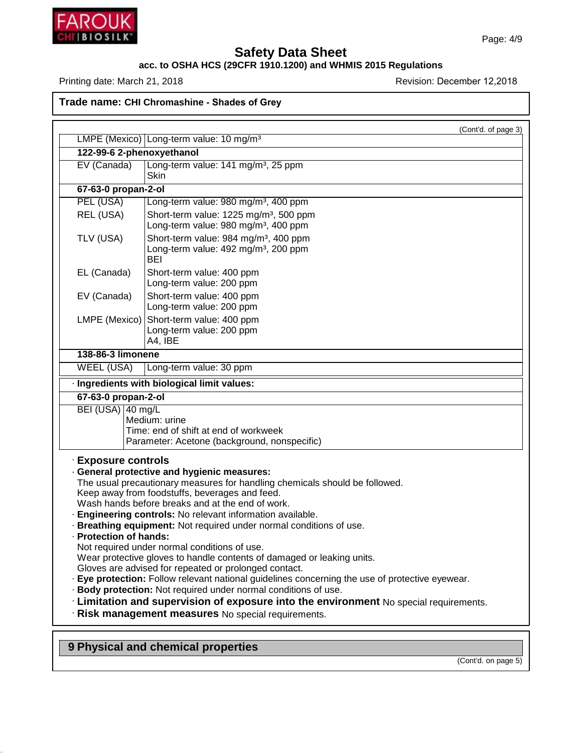

## **Safety Data Sheet<br>acc. to OSHA HCS (29CFR 1910.1200) and WHMIS 2015 Regulations<br>Revision: December<br>Revision: December** Page: 4/<br>
BHT BHOSHK<br>
acc. to OSHA HCS (29CFR 1910.1200) and WHMIS 2015 Regulations<br>
Printing date: March 21, 2018<br>
Revision: December 12,2018<br>
Revision: December 12,2018

| $\frac{1}{2}$ . The number of the contract of $\frac{1}{2}$ . The contract of the contract of $\frac{1}{2}$ |                                                                                                    |
|-------------------------------------------------------------------------------------------------------------|----------------------------------------------------------------------------------------------------|
|                                                                                                             | Trade name: CHI Chromashine - Shades of Grey                                                       |
|                                                                                                             | (Cont'd. of page 3)<br>LMPE (Mexico) Long-term value: 10 mg/m <sup>3</sup>                         |
|                                                                                                             |                                                                                                    |
|                                                                                                             | 122-99-6 2-phenoxyethanol                                                                          |
| EV (Canada)                                                                                                 | Long-term value: 141 mg/m <sup>3</sup> , 25 ppm<br><b>Skin</b>                                     |
| 67-63-0 propan-2-ol                                                                                         |                                                                                                    |
| PEL (USA)                                                                                                   | Long-term value: 980 mg/m <sup>3</sup> , 400 ppm                                                   |
| REL (USA)                                                                                                   | Short-term value: 1225 mg/m <sup>3</sup> , 500 ppm                                                 |
|                                                                                                             | Long-term value: 980 mg/m <sup>3</sup> , 400 ppm                                                   |
| TLV (USA)                                                                                                   | Short-term value: 984 mg/m <sup>3</sup> , 400 ppm                                                  |
|                                                                                                             | Long-term value: 492 mg/m <sup>3</sup> , 200 ppm<br><b>BEI</b>                                     |
| EL (Canada)                                                                                                 | Short-term value: 400 ppm                                                                          |
|                                                                                                             | Long-term value: 200 ppm                                                                           |
| EV (Canada)                                                                                                 | Short-term value: 400 ppm                                                                          |
|                                                                                                             | Long-term value: 200 ppm                                                                           |
| LMPE (Mexico)                                                                                               | Short-term value: 400 ppm                                                                          |
|                                                                                                             | Long-term value: 200 ppm                                                                           |
|                                                                                                             | A4, IBE                                                                                            |
| 138-86-3 limonene                                                                                           |                                                                                                    |
| <b>WEEL (USA)</b>                                                                                           | Long-term value: 30 ppm                                                                            |
|                                                                                                             | · Ingredients with biological limit values:                                                        |
| 67-63-0 propan-2-ol                                                                                         |                                                                                                    |
| BEI (USA) 40 mg/L                                                                                           |                                                                                                    |
|                                                                                                             | Medium: urine                                                                                      |
|                                                                                                             | Time: end of shift at end of workweek                                                              |
|                                                                                                             | Parameter: Acetone (background, nonspecific)                                                       |
| · Exposure controls                                                                                         |                                                                                                    |
|                                                                                                             | · General protective and hygienic measures:                                                        |
|                                                                                                             | The usual precautionary measures for handling chemicals should be followed.                        |
|                                                                                                             | Keep away from foodstuffs, beverages and feed.<br>Wash hands before breaks and at the end of work. |
|                                                                                                             | Engineering controls: No relevant information available.                                           |
|                                                                                                             | · Breathing equipment: Not required under normal conditions of use.                                |
| · Protection of hands:                                                                                      |                                                                                                    |
|                                                                                                             | Not required under normal conditions of use.                                                       |
|                                                                                                             | Wear protective gloves to handle contents of damaged or leaking units.                             |
|                                                                                                             | Gloves are advised for repeated or prolonged contact.                                              |
|                                                                                                             | Eye protection: Follow relevant national guidelines concerning the use of protective eyewear.      |
|                                                                                                             | · Body protection: Not required under normal conditions of use.                                    |
|                                                                                                             | Examitation and supervision of exposure into the environment No special requirements.              |
|                                                                                                             | · Risk management measures No special requirements.                                                |
|                                                                                                             |                                                                                                    |
|                                                                                                             |                                                                                                    |

**9 Physical and chemical properties**

46.1.6.1

(Cont'd. on page 5)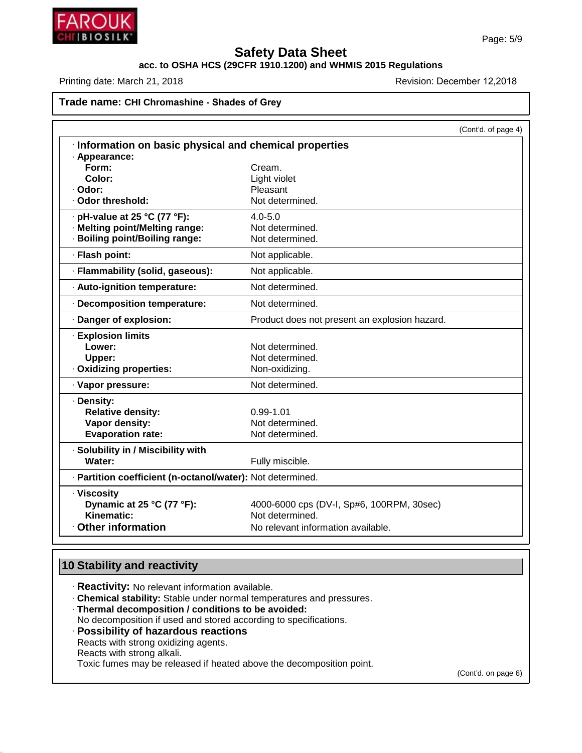

## **Safety Data Sheet<br>acc. to OSHA HCS (29CFR 1910.1200) and WHMIS 2015 Regulations<br>Revision: December<br>Revision: December** Page: 5/<br>
BRITISTIOSILIKE SAFETY Data Sheet<br>
acc. to OSHA HCS (29CFR 1910.1200) and WHMIS 2015 Regulations<br>
Revision: December 12,2018<br>
Revision: December 12,2018

### **Trade name: CHI Chromashine - Shades of Grey**

| Trade name: CHI Chromashine - Shades of Grey               |                                               |                     |
|------------------------------------------------------------|-----------------------------------------------|---------------------|
|                                                            |                                               | (Cont'd. of page 4) |
| Information on basic physical and chemical properties      |                                               |                     |
| · Appearance:                                              |                                               |                     |
| Form:                                                      | Cream.                                        |                     |
| Color:                                                     | Light violet                                  |                     |
| · Odor:                                                    | Pleasant                                      |                     |
| · Odor threshold:                                          | Not determined.                               |                     |
| pH-value at 25 °C (77 °F):                                 | $4.0 - 5.0$                                   |                     |
| · Melting point/Melting range:                             | Not determined.                               |                     |
| · Boiling point/Boiling range:                             | Not determined.                               |                     |
| · Flash point:                                             | Not applicable.                               |                     |
| · Flammability (solid, gaseous):                           | Not applicable.                               |                     |
| · Auto-ignition temperature:                               | Not determined.                               |                     |
| · Decomposition temperature:                               | Not determined.                               |                     |
| · Danger of explosion:                                     | Product does not present an explosion hazard. |                     |
| · Explosion limits                                         |                                               |                     |
| Lower:                                                     | Not determined.                               |                     |
| Upper:                                                     | Not determined.                               |                     |
| Oxidizing properties:                                      | Non-oxidizing.                                |                     |
| · Vapor pressure:                                          | Not determined.                               |                     |
| · Density:                                                 |                                               |                     |
| <b>Relative density:</b>                                   | 0.99-1.01                                     |                     |
| Vapor density:                                             | Not determined.                               |                     |
| <b>Evaporation rate:</b>                                   | Not determined.                               |                     |
| · Solubility in / Miscibility with                         |                                               |                     |
| Water:                                                     | Fully miscible.                               |                     |
| · Partition coefficient (n-octanol/water): Not determined. |                                               |                     |
| · Viscosity                                                |                                               |                     |
| Dynamic at 25 °C (77 °F):                                  | 4000-6000 cps (DV-I, Sp#6, 100RPM, 30sec)     |                     |
| Kinematic:                                                 | Not determined.                               |                     |
| Other information                                          | No relevant information available.            |                     |

46.1.6.1

- **10 Stability and reactivity**<br>**Reactivity:** No relevant information available.
	-
- **Constitute Act Act Stability:**<br> **Chemical stability:** Stable under normal temperatures and pressures.<br> **Chemical stability:** Stable under normal temperatures and pressures.<br> **Possibility of hazardous reactions.**<br> **Possibi** 
	- **Reactivity:** No relevant information available.<br> **Chemical stability:** Stable under normal temperatures and pressure:<br> **Thermal decomposition / conditions to be avoided:**<br>
	No decomposition if used and stored according to Thermal decomposition / conditions to be avoided:<br>No decomposition if used and stored according to specifications.<br>Possibility of hazardous reactions<br>Reacts with strong oxidizing agents.<br>Reacts with strong alkali. Toxic fumes may be released if heated above the decomposition point.

(Cont'd. on page 6)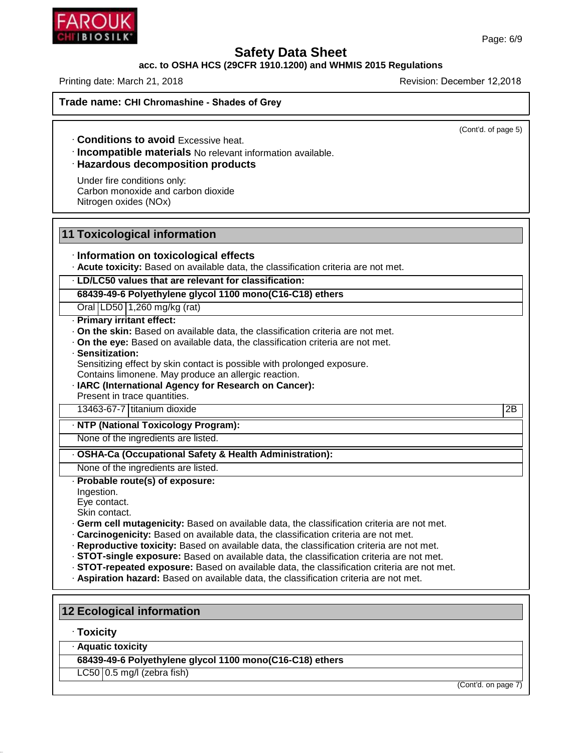### **Safety Data Sheet<br>PCFR 1910.1200) and WHMIS 201** Page: 6/9<br>**Safety Data Sheet<br>Printing date: March 21, 2018**<br>Printing date: March 21, 2018 PRITE IOSILIC SAFET SAFETY Data Sheet<br>
acc. to OSHA HCS (29CFR 1910.1200) and WHMIS 2015 Regulations<br>
Printing date: March 21, 2018 Revision: December 12,2018<br>
Trade name: CHI Chromashine - Shades of Grey

**Trade name: CHI Chromashine - Shades of Grey**

 $\overline{(\text{Cont'd. of page 5})}$ 

**Example 121, 2018**<br> **Excessive heat.**<br> **Conditions to avoid** Excessive heat.<br> **Conditions to avoid** Excessive heat.<br> **Razardous decomposition products**<br>
Under fire conditions only:<br>
Carbon monovide and carbon dievide.

**Conditions to avoid Excess**<br>**Incompatible materials** No<br>**Hazardous decompositior**<br>Under fire conditions only:<br>Carbon monoxide and carbon Nitrogen oxides (NOx) **Conditions to avoid Excessive heat.**<br> **Incompatible materials** No relevant informa<br> **Hazardous decomposition products**<br>
Under fire conditions only:<br>
Carbon monoxide and carbon dioxide<br>
Nitrogen oxides (NOx) **Incompatible materials<br>
Hazardous decompositi**<br>
Under fire conditions only:<br>
Carbon monoxide and carbo<br>
Nitrogen oxides (NOx) Under fire conditions only:<br>
Carbon monoxide and carbon dioxide<br>
Nitrogen oxides (NOx)<br> **11 Toxicological information<br>
Information on toxicological effects** 

Vitrogen oxides (NOx)<br>
→<br>
→ **Information on toxicological effects**<br>
→ **Information on toxicological effects**<br>
→ **Acute toxicity:** Based on available data, the classification<br>
→ **ID/IC50 values that are relevant for classi France II Toxicological information**<br> **Acute toxicity:** Based on available data, the classification criteria are not met.<br> **Acute toxicity:** Based on available data, the classification:<br> **68439-49-6 Polyethylene glycol 11 Information on toxicological effects**<br>
Acute toxicity: Based on available data, the classification criteria are not<br>
LD/LC50 values that are relevant for classification:<br>
68439-49-6 Polyethylene glycol 1100 mono(C16-C18)

Information on toxicological (<br>Acute toxicity: Based on available<br>LD/LC50 values that are relevant<br>68439-49-6 Polyethylene glycol 1<br>Oral LD50 1,260 mg/kg (rat)<br>Primary irritant effect:

• **Acute toxicity:** Based on ava<br>• **LD/LC50 values that are rel**<br>• **68439-49-6 Polyethylene gly**<br>• Oral LD50 1,260 mg/kg (rat)<br>• **Primary irritant effect:**<br>• On the skin: Based on availa<br>• On the eve: Based on availa

- 
- **LD/LC50 values that are relevant for classification:**<br> **68439-49-6 Polyethylene glycol 1100 mono(C16-C18) ethers**<br>
 **Onal LD50 1,260 mg/kg (rat)**<br>
 **Primary irritant effect:**<br>
 **On the skin:** Based on available data, **Primary irritant effect:**<br> **On the skin:** Based on available data, the classification criteria are not me<br> **On the eye:** Based on available data, the classification criteria are not met<br> **Sensitization:**<br>
Sensitizing effe

- 
- **Primary irritant effect:**<br> **Contains limonents on available data, the classification criteria**<br> **Contains limonene.** May produce an allergic reaction.<br> **IARC (International Agency for Research on Cancer):**<br>
Present in tra • On the eye: Based on available data, the classification criteria are not met.<br>
• Sensitization:<br>
Sensitizing effect by skin contact is possible with prolonged exposure.<br>
Contains limonene. May produce an allergic reacti Sensitiziation:<br>
Sensitizing effect by skin contact is possible with prolonged exposure.<br>
Contains limonene. May produce an allergic reaction.<br>
IARC (International Agency for Research on Cancer):<br>
Present in trace quantiti **EXEC (International Agency for Research on Cancer):**<br>Present in trace quantities.<br>13463-67-7 titanium dioxide<br>**NTP (National Toxicology Program):**<br>None of the ingredients are listed. Mark (International Agency for Research on Cancer):<br>
Present in trace quantities.<br>
13463-67-7 titanium dioxide<br>
None of the ingredients are listed.<br> **None of the ingredients are listed.**<br>
None of the ingredients are listed

### **None of the ingredients are listed.**<br>• **NONE OF the ingredients are listed.**<br>• **OSHA-Ca (Occupational Safety & He<br>• None of the ingredients are listed.**<br>• **Probable route(s) of exposure:**<br>Ingestion.<br>• Eve contact. **OSHA-Ca (Occu**<br> **None of the ingre<br>
Probable route(ingestion.**<br>
Eye contact.<br>
Skin contact.<br> **Germ cell mutact.**

Ingestion.<br>Eye contact.

- 
- 
- 
- From the ingredients are listed.<br>
None of the ingredients are listed.<br>
Probable route(s) of exposure:<br>
Probable route(s) of exposure:<br>
Eye contact.<br>
Skin contact.<br>
Cerric ell mutagenicity: Based on available data, the clas **12 Ecological information**<br> **12 Ecological information**<br> **12 Ecological information**<br> **12 Ecological information**<br> **12 Ecological information** 
	-
	-

# 12 Ecological information<br>
· Toxicity<br>
· Aquatic toxicity<br>
68439-49-6 Polyethylene gly<br>
LC50 **0.5 mg/l** (zebra fish)

### · **Toxicity**

46.1.6.1

**Ecological information<br>Toxicity<br>Aquatic toxicity<br>68439-49-6 Polyethylene glycol 1100 mono(C16-C18) ethers<br>LC50 O.5 mg/l (zebra fish)** Toxicity<br>Aquatic toxicity<br>68439-49-6 Polyethylene glycc<br>LC50 0.5 mg/l (zebra fish)

(Cont'd. on page 7)

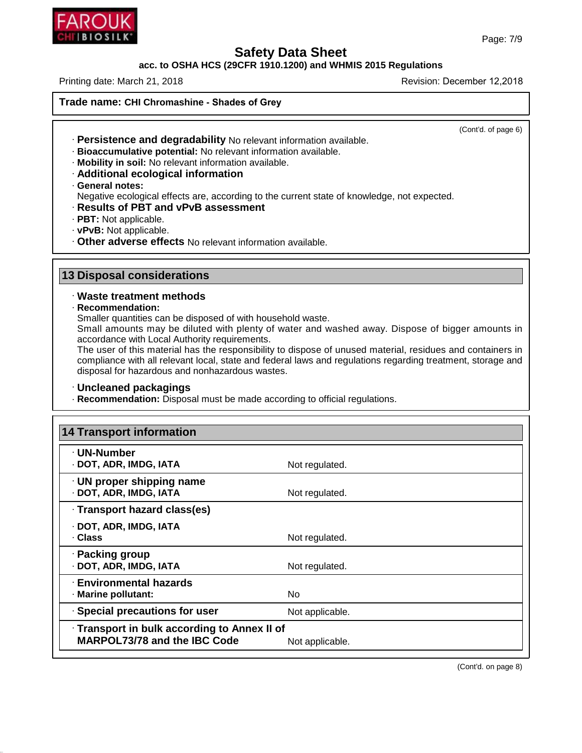

### **Safety Data Sheet<br>PCFR 1910.1200) and WHMIS 201** Page: 7/9<br>**Safety Data Sheet<br>Printing date: March 21, 2018**<br>Printing date: March 21, 2018 Page: 7/9<br>
Rage: 7/9<br>
acc. to OSHA HCS (29CFR 1910.1200) and WHMIS 2015 Regulations<br>
Printing date: March 21, 2018<br>
Revision: December 12,2018<br>
Revision: December 12,2018

**Trade name: CHI Chromashine - Shades of Grey**

(Cont'd. of page 6)

- 
- 
- 
- 
- 

Thing date: March 21, 2018<br> **ade name: CHI Chromashine - Shades of Grey<br>
· Persistence and degradability No relevant information available.<br>
· Bioaccumulative potential: No relevant information available.<br>
· Mobility in so** • **Persistence and degradability** No relevant information available.<br>
• **Bioaccumulative potential:** No relevant information available.<br>
• **Mobility in soil:** No relevant information available.<br>
• **Additional ecological in Example 2018** And the current state of knowledge, not expected.<br> **Negative in soil:** No relevant information available.<br> **Additional ecological information**<br> **Contration**<br> **Contration Contration**<br> **Contration Contration**<br> • **Additional ecological information**<br>• **General notes:**<br>• **Pacadive ecological effects are, according to the current state of**<br>• **Results of PBT and vPvB assessment**<br>• **PBT:** Not applicable.<br>• **vPvB:** Not applicable.<br>• **O** 

- 
- 
- 
- **13 Disposal considerations**<br> **13 Disposal considerations**<br> **13 Disposal considerations**<br> **13 Disposal considerations**<br> **13 Disposal considerations** • Other adverse effects No relevant inf<br> **B**<br> **B** Disposal considerations<br>
• Waste treatment methods<br>
• Recommendation:<br>
Smaller quantities can be disposed of wit

46.1.6.1

· **Recommendation:**

**Disposal considerations<br>Waste treatment methods<br>Recommendation:**<br>Smaller quantities can be disposed of with household waste.<br>Small amounts may be diluted with plenty of water and wash<br>accordance with Local Authority requi **Disposal considerations**<br> **Waste treatment methods**<br>
Recommendation:<br>
Smaller quantities can be disposed of with household waste.<br>
Small amounts may be diluted with plenty of water and washed away. Dispose of bigger amoun Waste treatment methods<br>
Recommendation:<br>
Smaller quantities can be disposed of with househer<br>
Small amounts may be diluted with plenty of wa<br>
accordance with Local Authority requirements.<br>
The user of this material has th

Waste treatment methods<br>Recommendation:<br>Smaller quantities can be disposed of with household waste.<br>Small amounts may be diluted with plenty of water and washed away. Dispose of bigger amounts in<br>accordance with Local Auth Recommendation:<br>
Smaller quantities can be disposed of with household waste.<br>
Small amounts may be diluted with plenty of water and washed away. Dispose of bigger amounts in<br>
accordance with Local Authority requirements.<br> Smaller quantities can be disposed of with household w<br>Small amounts may be diluted with plenty of water a<br>accordance with Local Authority requirements.<br>The user of this material has the responsibility to dispon<br>compliance The user of this material has the responsibility to dispose of unused material, recompliance with all relevant local, state and federal laws and regulations regardinal disposal for hazardous and nonhazardous wastes.<br> **Conc** 

| · Uncleaned packagings                                                            | disposal for hazardous and nonhazardous wastes. |  |
|-----------------------------------------------------------------------------------|-------------------------------------------------|--|
| · Recommendation: Disposal must be made according to official regulations.        |                                                 |  |
| <b>14 Transport information</b>                                                   |                                                 |  |
| · UN-Number<br>· DOT, ADR, IMDG, IATA                                             | Not regulated.                                  |  |
| · UN proper shipping name<br>· DOT, ADR, IMDG, IATA                               | Not regulated.                                  |  |
| · Transport hazard class(es)                                                      |                                                 |  |
| · DOT, ADR, IMDG, IATA<br>· Class                                                 | Not regulated.                                  |  |
| · Packing group<br>· DOT, ADR, IMDG, IATA                                         | Not regulated.                                  |  |
| <b>Environmental hazards</b><br>· Marine pollutant:                               | <b>No</b>                                       |  |
| · Special precautions for user                                                    | Not applicable.                                 |  |
| Transport in bulk according to Annex II of<br><b>MARPOL73/78 and the IBC Code</b> | Not applicable.                                 |  |

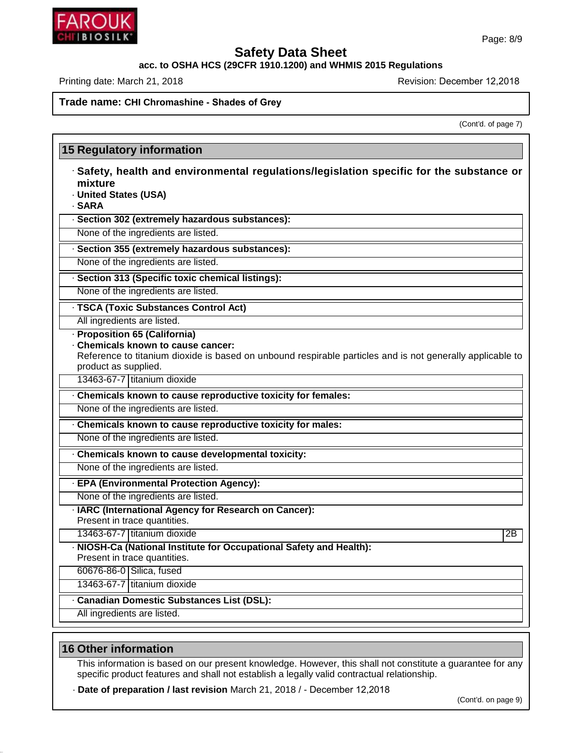## **Safety Data Sheet<br>acc. to OSHA HCS (29CFR 1910.1200) and WHMIS 2015 Regulations<br>Revision: December<br>Revision: December** Page: 8/9<br>
Page: 8/1<br>
acc. to OSHA HCS (29CFR 1910.1200) and WHMIS 2015 Regulations<br>
Printing date: March 21, 2018<br>
Revision: December 12,2018<br>
Revision: December 12,2018

Revision: December 12,2018<br>(Cont'd. of page 7)

|                                                                                                                                                                                                                                       | (Cont'd. of page 7) |
|---------------------------------------------------------------------------------------------------------------------------------------------------------------------------------------------------------------------------------------|---------------------|
|                                                                                                                                                                                                                                       |                     |
| <b>15 Regulatory information</b>                                                                                                                                                                                                      |                     |
| · Safety, health and environmental regulations/legislation specific for the substance or<br>mixture<br>· United States (USA)<br>· SARA                                                                                                |                     |
| · Section 302 (extremely hazardous substances):                                                                                                                                                                                       |                     |
| None of the ingredients are listed.                                                                                                                                                                                                   |                     |
| · Section 355 (extremely hazardous substances):                                                                                                                                                                                       |                     |
| None of the ingredients are listed.                                                                                                                                                                                                   |                     |
| · Section 313 (Specific toxic chemical listings):                                                                                                                                                                                     |                     |
| None of the ingredients are listed.                                                                                                                                                                                                   |                     |
| · TSCA (Toxic Substances Control Act)                                                                                                                                                                                                 |                     |
| All ingredients are listed.                                                                                                                                                                                                           |                     |
| · Proposition 65 (California)<br>Chemicals known to cause cancer:<br>Reference to titanium dioxide is based on unbound respirable particles and is not generally applicable to<br>product as supplied.<br>13463-67-7 titanium dioxide |                     |
| Chemicals known to cause reproductive toxicity for females:                                                                                                                                                                           |                     |
| None of the ingredients are listed.                                                                                                                                                                                                   |                     |
| Chemicals known to cause reproductive toxicity for males:                                                                                                                                                                             |                     |
| None of the ingredients are listed.                                                                                                                                                                                                   |                     |
| . Chemicals known to cause developmental toxicity:                                                                                                                                                                                    |                     |
| None of the ingredients are listed.                                                                                                                                                                                                   |                     |
| · EPA (Environmental Protection Agency):                                                                                                                                                                                              |                     |
| None of the ingredients are listed.                                                                                                                                                                                                   |                     |
| · IARC (International Agency for Research on Cancer):<br>Present in trace quantities.                                                                                                                                                 |                     |
| 13463-67-7 titanium dioxide                                                                                                                                                                                                           | 2B                  |
| · NIOSH-Ca (National Institute for Occupational Safety and Health):<br>Present in trace quantities.                                                                                                                                   |                     |
| 60676-86-0 Silica, fused                                                                                                                                                                                                              |                     |
| 13463-67-7 titanium dioxide                                                                                                                                                                                                           |                     |
| Canadian Domestic Substances List (DSL):                                                                                                                                                                                              |                     |
| All ingredients are listed.                                                                                                                                                                                                           |                     |
|                                                                                                                                                                                                                                       |                     |
| <b>16 Other information</b>                                                                                                                                                                                                           |                     |
| This information is based on our present knowledge. However, this shall not constitute a guarantee for any                                                                                                                            |                     |

46.1.6.1

Other information<br>This information is based on our present knowledge. However, this shall not constitute a guaspecific product features and shall not establish a legally valid contractual relationship.<br>Date of preparation example for any<br>(Cont'd. on page 9)

· **Date of preparation / last revision** March 21, 2018 / - December 12,2018